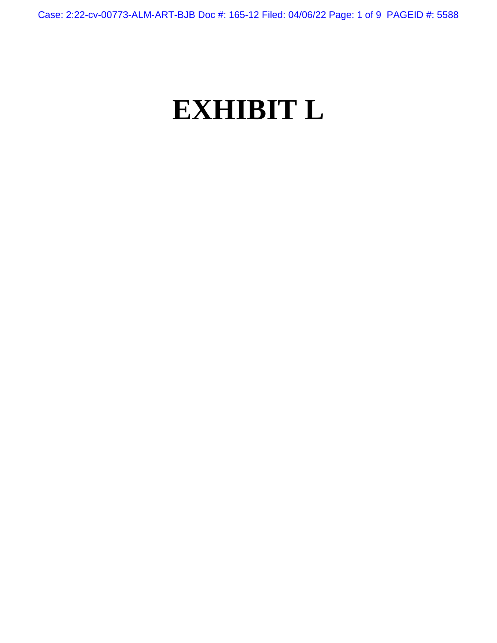Case: 2:22-cv-00773-ALM-ART-BJB Doc #: 165-12 Filed: 04/06/22 Page: 1 of 9 PAGEID #: 5588

## **EXHIBIT L**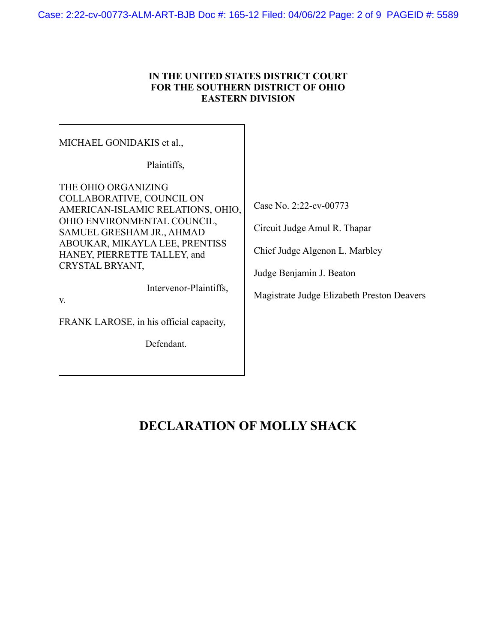## **IN THE UNITED STATES DISTRICT COURT FOR THE SOUTHERN DISTRICT OF OHIO EASTERN DIVISION**

| MICHAEL GONIDAKIS et al.,                                                                                                                                                                                                                                                                                         |                                                                                                                                                                    |
|-------------------------------------------------------------------------------------------------------------------------------------------------------------------------------------------------------------------------------------------------------------------------------------------------------------------|--------------------------------------------------------------------------------------------------------------------------------------------------------------------|
| Plaintiffs,                                                                                                                                                                                                                                                                                                       |                                                                                                                                                                    |
| THE OHIO ORGANIZING<br>COLLABORATIVE, COUNCIL ON<br>AMERICAN-ISLAMIC RELATIONS, OHIO,<br>OHIO ENVIRONMENTAL COUNCIL,<br>SAMUEL GRESHAM JR., AHMAD<br>ABOUKAR, MIKAYLA LEE, PRENTISS<br>HANEY, PIERRETTE TALLEY, and<br>CRYSTAL BRYANT,<br>Intervenor-Plaintiffs,<br>V.<br>FRANK LAROSE, in his official capacity, | Case No. 2:22-cv-00773<br>Circuit Judge Amul R. Thapar<br>Chief Judge Algenon L. Marbley<br>Judge Benjamin J. Beaton<br>Magistrate Judge Elizabeth Preston Deavers |
| Defendant.                                                                                                                                                                                                                                                                                                        |                                                                                                                                                                    |

## **DECLARATION OF MOLLY SHACK**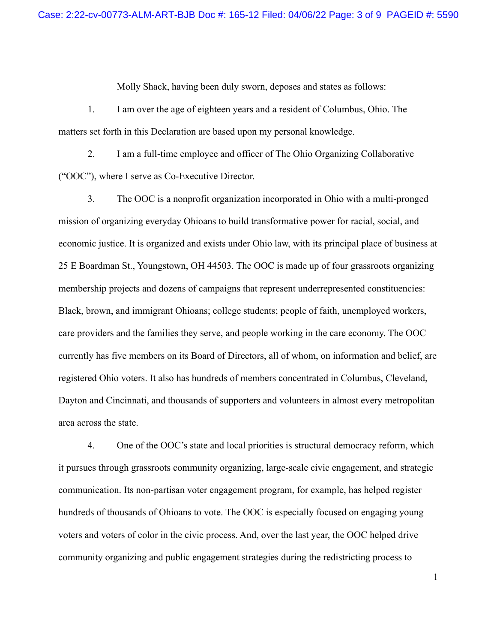Molly Shack, having been duly sworn, deposes and states as follows:

1. I am over the age of eighteen years and a resident of Columbus, Ohio. The matters set forth in this Declaration are based upon my personal knowledge.

2. I am a full-time employee and officer of The Ohio Organizing Collaborative ("OOC"), where I serve as Co-Executive Director.

3. The OOC is a nonprofit organization incorporated in Ohio with a multi-pronged mission of organizing everyday Ohioans to build transformative power for racial, social, and economic justice. It is organized and exists under Ohio law, with its principal place of business at 25 E Boardman St., Youngstown, OH 44503. The OOC is made up of four grassroots organizing membership projects and dozens of campaigns that represent underrepresented constituencies: Black, brown, and immigrant Ohioans; college students; people of faith, unemployed workers, care providers and the families they serve, and people working in the care economy. The OOC currently has five members on its Board of Directors, all of whom, on information and belief, are registered Ohio voters. It also has hundreds of members concentrated in Columbus, Cleveland, Dayton and Cincinnati, and thousands of supporters and volunteers in almost every metropolitan area across the state.

4. One of the OOC's state and local priorities is structural democracy reform, which it pursues through grassroots community organizing, large-scale civic engagement, and strategic communication. Its non-partisan voter engagement program, for example, has helped register hundreds of thousands of Ohioans to vote. The OOC is especially focused on engaging young voters and voters of color in the civic process. And, over the last year, the OOC helped drive community organizing and public engagement strategies during the redistricting process to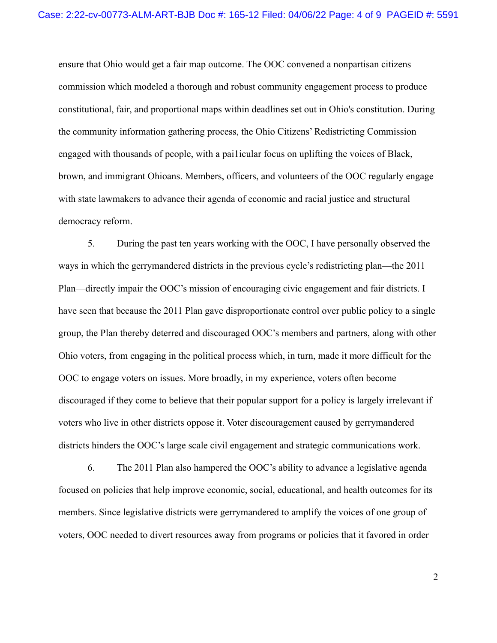ensure that Ohio would get a fair map outcome. The OOC convened a nonpartisan citizens commission which modeled a thorough and robust community engagement process to produce constitutional, fair, and proportional maps within deadlines set out in Ohio's constitution. During the community information gathering process, the Ohio Citizens' Redistricting Commission engaged with thousands of people, with a pai1icular focus on uplifting the voices of Black, brown, and immigrant Ohioans. Members, officers, and volunteers of the OOC regularly engage with state lawmakers to advance their agenda of economic and racial justice and structural democracy reform.

5. During the past ten years working with the OOC, I have personally observed the ways in which the gerrymandered districts in the previous cycle's redistricting plan—the 2011 Plan—directly impair the OOC's mission of encouraging civic engagement and fair districts. I have seen that because the 2011 Plan gave disproportionate control over public policy to a single group, the Plan thereby deterred and discouraged OOC's members and partners, along with other Ohio voters, from engaging in the political process which, in turn, made it more difficult for the OOC to engage voters on issues. More broadly, in my experience, voters often become discouraged if they come to believe that their popular support for a policy is largely irrelevant if voters who live in other districts oppose it. Voter discouragement caused by gerrymandered districts hinders the OOC's large scale civil engagement and strategic communications work.

6. The 2011 Plan also hampered the OOC's ability to advance a legislative agenda focused on policies that help improve economic, social, educational, and health outcomes for its members. Since legislative districts were gerrymandered to amplify the voices of one group of voters, OOC needed to divert resources away from programs or policies that it favored in order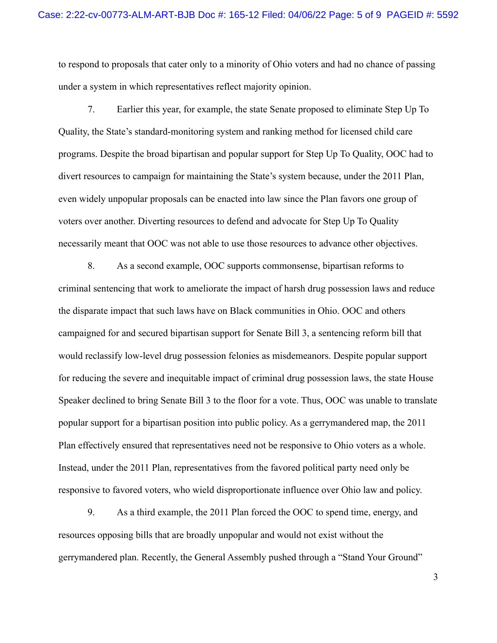to respond to proposals that cater only to a minority of Ohio voters and had no chance of passing under a system in which representatives reflect majority opinion.

7. Earlier this year, for example, the state Senate proposed to eliminate Step Up To Quality, the State's standard-monitoring system and ranking method for licensed child care programs. Despite the broad bipartisan and popular support for Step Up To Quality, OOC had to divert resources to campaign for maintaining the State's system because, under the 2011 Plan, even widely unpopular proposals can be enacted into law since the Plan favors one group of voters over another. Diverting resources to defend and advocate for Step Up To Quality necessarily meant that OOC was not able to use those resources to advance other objectives.

8. As a second example, OOC supports commonsense, bipartisan reforms to criminal sentencing that work to ameliorate the impact of harsh drug possession laws and reduce the disparate impact that such laws have on Black communities in Ohio. OOC and others campaigned for and secured bipartisan support for Senate Bill 3, a sentencing reform bill that would reclassify low-level drug possession felonies as misdemeanors. Despite popular support for reducing the severe and inequitable impact of criminal drug possession laws, the state House Speaker declined to bring Senate Bill 3 to the floor for a vote. Thus, OOC was unable to translate popular support for a bipartisan position into public policy. As a gerrymandered map, the 2011 Plan effectively ensured that representatives need not be responsive to Ohio voters as a whole. Instead, under the 2011 Plan, representatives from the favored political party need only be responsive to favored voters, who wield disproportionate influence over Ohio law and policy.

9. As a third example, the 2011 Plan forced the OOC to spend time, energy, and resources opposing bills that are broadly unpopular and would not exist without the gerrymandered plan. Recently, the General Assembly pushed through a "Stand Your Ground"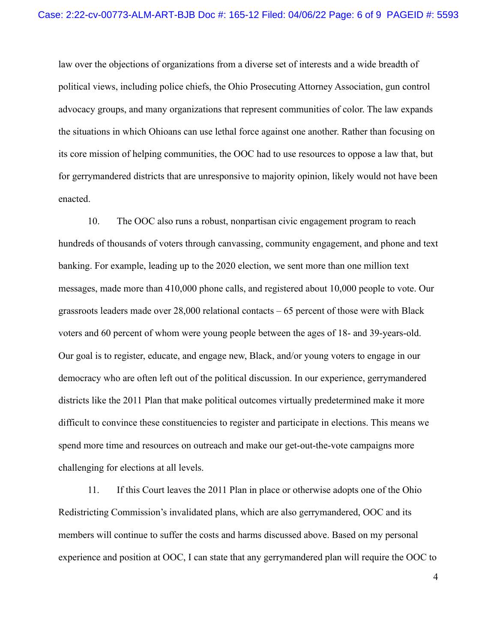law over the objections of organizations from a diverse set of interests and a wide breadth of political views, including police chiefs, the Ohio Prosecuting Attorney Association, gun control advocacy groups, and many organizations that represent communities of color. The law expands the situations in which Ohioans can use lethal force against one another. Rather than focusing on its core mission of helping communities, the OOC had to use resources to oppose a law that, but for gerrymandered districts that are unresponsive to majority opinion, likely would not have been enacted.

10. The OOC also runs a robust, nonpartisan civic engagement program to reach hundreds of thousands of voters through canvassing, community engagement, and phone and text banking. For example, leading up to the 2020 election, we sent more than one million text messages, made more than 410,000 phone calls, and registered about 10,000 people to vote. Our grassroots leaders made over  $28,000$  relational contacts  $-65$  percent of those were with Black voters and 60 percent of whom were young people between the ages of 18- and 39-years-old. Our goal is to register, educate, and engage new, Black, and/or young voters to engage in our democracy who are often left out of the political discussion. In our experience, gerrymandered districts like the 2011 Plan that make political outcomes virtually predetermined make it more difficult to convince these constituencies to register and participate in elections. This means we spend more time and resources on outreach and make our get-out-the-vote campaigns more challenging for elections at all levels.

11. If this Court leaves the 2011 Plan in place or otherwise adopts one of the Ohio Redistricting Commission's invalidated plans, which are also gerrymandered, OOC and its members will continue to suffer the costs and harms discussed above. Based on my personal experience and position at OOC, I can state that any gerrymandered plan will require the OOC to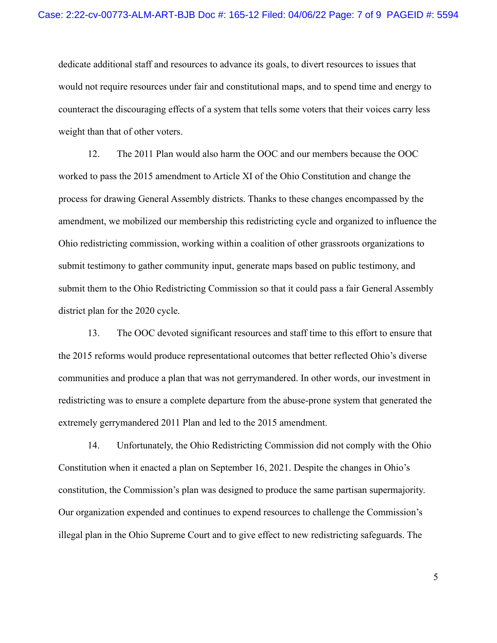dedicate additional staff and resources to advance its goals, to divert resources to issues that would not require resources under fair and constitutional maps, and to spend time and energy to counteract the discouraging effects of a system that tells some voters that their voices carry less weight than that of other voters.

12. The 2011 Plan would also harm the OOC and our members because the OOC worked to pass the 2015 amendment to Article XI of the Ohio Constitution and change the process for drawing General Assembly districts. Thanks to these changes encompassed by the amendment, we mobilized our membership this redistricting cycle and organized to influence the Ohio redistricting commission, working within a coalition of other grassroots organizations to submit testimony to gather community input, generate maps based on public testimony, and submit them to the Ohio Redistricting Commission so that it could pass a fair General Assembly district plan for the 2020 cycle.

13. The OOC devoted significant resources and staff time to this effort to ensure that the 2015 reforms would produce representational outcomes that better reflected Ohio's diverse communities and produce a plan that was not gerrymandered. In other words, our investment in redistricting was to ensure a complete departure from the abuse-prone system that generated the extremely gerrymandered 2011 Plan and led to the 2015 amendment.

14. Unfortunately, the Ohio Redistricting Commission did not comply with the Ohio Constitution when it enacted a plan on September 16, 2021. Despite the changes in Ohio's constitution, the Commission's plan was designed to produce the same partisan supermajority. Our organization expended and continues to expend resources to challenge the Commission's illegal plan in the Ohio Supreme Court and to give effect to new redistricting safeguards. The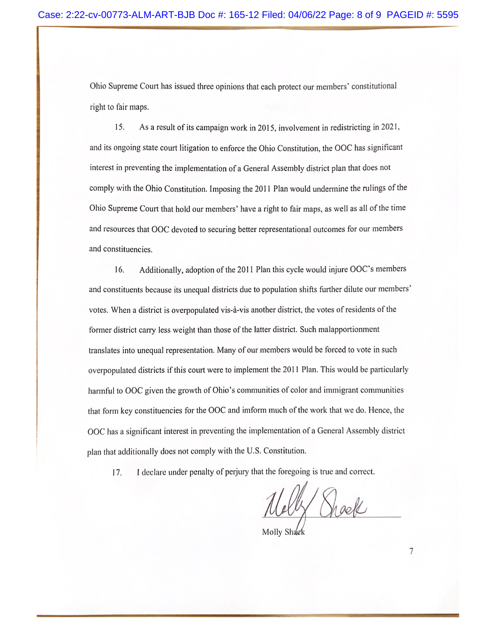Ohio Supreme Court has issued three opinions that each protect our members' constitutional right to fair maps.

15. As a result of its campaign work in 2015, involvement in redistricting in 2021, and its ongoing state court litigation to enforce the Ohio Constitution, the OOC has significant interest in preventing the implementation of a General Assembly district plan that does not comply with the Ohio Constitution. Imposing the 2011 Plan would undermine the rulings of the Ohio Supreme Court that hold our members' have a right to fair maps, as well as all of the time and resources that OOC devoted to securing better representational outcomes for our members and constituencies.

Additionally, adoption of the 2011 Plan this cycle would injure OOC's members 16. and constituents because its unequal districts due to population shifts further dilute our members' votes. When a district is overpopulated vis-à-vis another district, the votes of residents of the former district carry less weight than those of the latter district. Such malapportionment translates into unequal representation. Many of our members would be forced to vote in such overpopulated districts if this court were to implement the 2011 Plan. This would be particularly harmful to OOC given the growth of Ohio's communities of color and immigrant communities that form key constituencies for the OOC and imform much of the work that we do. Hence, the OOC has a significant interest in preventing the implementation of a General Assembly district plan that additionally does not comply with the U.S. Constitution.

I declare under penalty of perjury that the foregoing is true and correct. 17.

Celly Drack

Molly Shaek